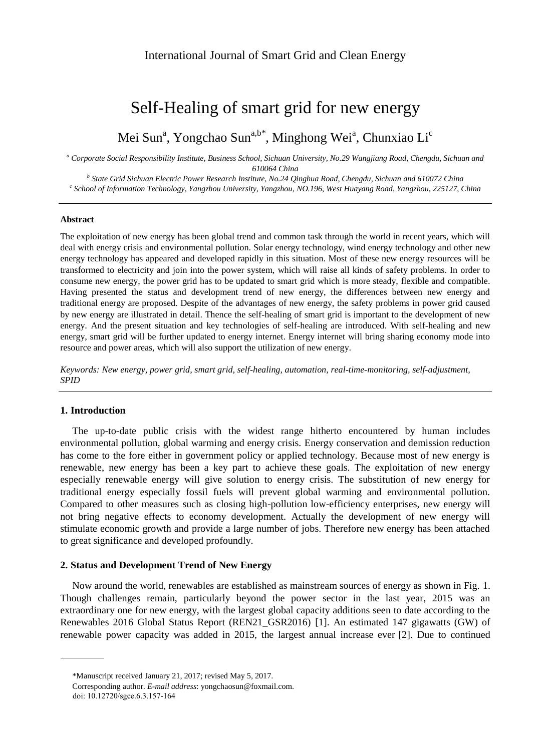# Self-Healing of smart grid for new energy

Mei Sun<sup>a</sup>, Yongchao Sun<sup>a,b\*</sup>, Minghong Wei<sup>a</sup>, Chunxiao Li<sup>c</sup>

*<sup>a</sup> Corporate Social Responsibility Institute, Business School, Sichuan University, No.29 Wangjiang Road, Chengdu, Sichuan and* 

*610064 China*

*b State Grid Sichuan Electric Power Research Institute, No.24 Qinghua Road, Chengdu, Sichuan and 610072 China c School of Information Technology, Yangzhou University, Yangzhou, NO.196, West Huayang Road, Yangzhou, 225127, China*

#### **Abstract**

The exploitation of new energy has been global trend and common task through the world in recent years, which will deal with energy crisis and environmental pollution. Solar energy technology, wind energy technology and other new energy technology has appeared and developed rapidly in this situation. Most of these new energy resources will be transformed to electricity and join into the power system, which will raise all kinds of safety problems. In order to consume new energy, the power grid has to be updated to smart grid which is more steady, flexible and compatible. Having presented the status and development trend of new energy, the differences between new energy and traditional energy are proposed. Despite of the advantages of new energy, the safety problems in power grid caused by new energy are illustrated in detail. Thence the self-healing of smart grid is important to the development of new energy. And the present situation and key technologies of self-healing are introduced. With self-healing and new energy, smart grid will be further updated to energy internet. Energy internet will bring sharing economy mode into resource and power areas, which will also support the utilization of new energy.

*Keywords: New energy, power grid, smart grid, self-healing, automation, real-time-monitoring, self-adjustment, SPID*

## **1. Introduction**

The up-to-date public crisis with the widest range hitherto encountered by human includes environmental pollution, global warming and energy crisis. Energy conservation and demission reduction has come to the fore either in government policy or applied technology. Because most of new energy is renewable, new energy has been a key part to achieve these goals. The exploitation of new energy especially renewable energy will give solution to energy crisis. The substitution of new energy for traditional energy especially fossil fuels will prevent global warming and environmental pollution. Compared to other measures such as closing high-pollution low-efficiency enterprises, new energy will not bring negative effects to economy development. Actually the development of new energy will stimulate economic growth and provide a large number of jobs. Therefore new energy has been attached to great significance and developed profoundly.

## **2. Status and Development Trend of New Energy**

Now around the world, renewables are established as mainstream sources of energy as shown in Fig. 1. Though challenges remain, particularly beyond the power sector in the last year, 2015 was an extraordinary one for new energy, with the largest global capacity additions seen to date according to the Renewables 2016 Global Status Report (REN21\_GSR2016) [1]. An estimated 147 gigawatts (GW) of renewable power capacity was added in 2015, the largest annual increase ever [2]. Due to continued

<sup>\*</sup>Manuscript received January 21, 2017; revised May 5, 2017.

Corresponding author. *E-mail address*: yongchaosun@foxmail.com.

doi: 10.12720/sgce.6.3.157-164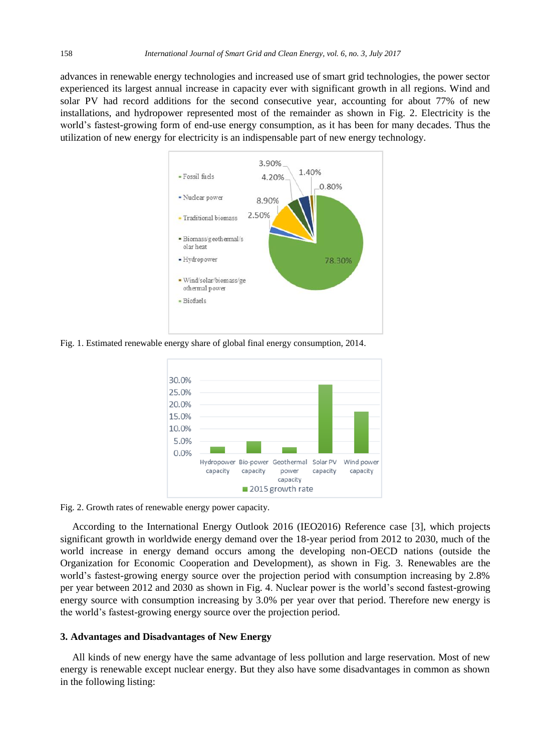advances in renewable energy technologies and increased use of smart grid technologies, the power sector experienced its largest annual increase in capacity ever with significant growth in all regions. Wind and solar PV had record additions for the second consecutive year, accounting for about 77% of new installations, and hydropower represented most of the remainder as shown in Fig. 2. Electricity is the world's fastest-growing form of end-use energy consumption, as it has been for many decades. Thus the utilization of new energy for electricity is an indispensable part of new energy technology.



Fig. 1. Estimated renewable energy share of global final energy consumption, 2014.



Fig. 2. Growth rates of renewable energy power capacity.

According to the International Energy Outlook 2016 (IEO2016) Reference case [3], which projects significant growth in worldwide energy demand over the 18-year period from 2012 to 2030, much of the world increase in energy demand occurs among the developing non-OECD nations (outside the Organization for Economic Cooperation and Development), as shown in Fig. 3. Renewables are the world's fastest-growing energy source over the projection period with consumption increasing by 2.8% per year between 2012 and 2030 as shown in Fig. 4. Nuclear power is the world's second fastest-growing energy source with consumption increasing by 3.0% per year over that period. Therefore new energy is the world's fastest-growing energy source over the projection period.

#### **3. Advantages and Disadvantages of New Energy**

All kinds of new energy have the same advantage of less pollution and large reservation. Most of new energy is renewable except nuclear energy. But they also have some disadvantages in common as shown in the following listing: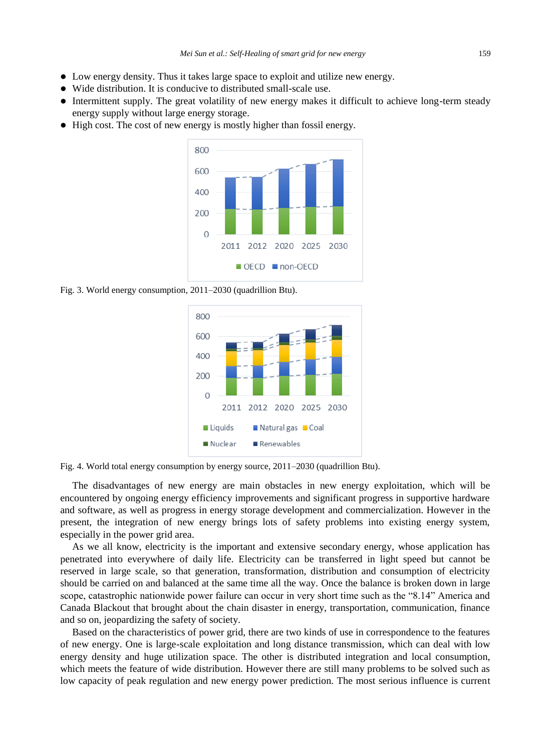- Low energy density. Thus it takes large space to exploit and utilize new energy.
- Wide distribution. It is conducive to distributed small-scale use.
- Intermittent supply. The great volatility of new energy makes it difficult to achieve long-term steady energy supply without large energy storage.
- High cost. The cost of new energy is mostly higher than fossil energy.



Fig. 3. World energy consumption, 2011–2030 (quadrillion Btu).



Fig. 4. World total energy consumption by energy source, 2011–2030 (quadrillion Btu).

The disadvantages of new energy are main obstacles in new energy exploitation, which will be encountered by ongoing energy efficiency improvements and significant progress in supportive hardware and software, as well as progress in energy storage development and commercialization. However in the present, the integration of new energy brings lots of safety problems into existing energy system, especially in the power grid area.

As we all know, electricity is the important and extensive secondary energy, whose application has penetrated into everywhere of daily life. Electricity can be transferred in light speed but cannot be reserved in large scale, so that generation, transformation, distribution and consumption of electricity should be carried on and balanced at the same time all the way. Once the balance is broken down in large scope, catastrophic nationwide power failure can occur in very short time such as the "8.14" America and Canada Blackout that brought about the chain disaster in energy, transportation, communication, finance and so on, jeopardizing the safety of society.

Based on the characteristics of power grid, there are two kinds of use in correspondence to the features of new energy. One is large-scale exploitation and long distance transmission, which can deal with low energy density and huge utilization space. The other is distributed integration and local consumption, which meets the feature of wide distribution. However there are still many problems to be solved such as low capacity of peak regulation and new energy power prediction. The most serious influence is current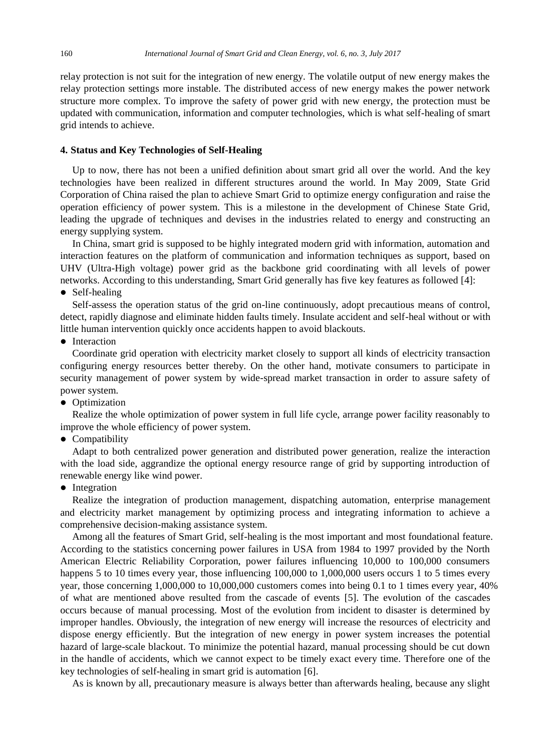relay protection is not suit for the integration of new energy. The volatile output of new energy makes the relay protection settings more instable. The distributed access of new energy makes the power network structure more complex. To improve the safety of power grid with new energy, the protection must be updated with communication, information and computer technologies, which is what self-healing of smart grid intends to achieve.

#### **4. Status and Key Technologies of Self-Healing**

Up to now, there has not been a unified definition about smart grid all over the world. And the key technologies have been realized in different structures around the world. In May 2009, State Grid Corporation of China raised the plan to achieve Smart Grid to optimize energy configuration and raise the operation efficiency of power system. This is a milestone in the development of Chinese State Grid, leading the upgrade of techniques and devises in the industries related to energy and constructing an energy supplying system.

In China, smart grid is supposed to be highly integrated modern grid with information, automation and interaction features on the platform of communication and information techniques as support, based on UHV (Ultra-High voltage) power grid as the backbone grid coordinating with all levels of power networks. According to this understanding, Smart Grid generally has five key features as followed [4]:

• Self-healing

Self-assess the operation status of the grid on-line continuously, adopt precautious means of control, detect, rapidly diagnose and eliminate hidden faults timely. Insulate accident and self-heal without or with little human intervention quickly once accidents happen to avoid blackouts.

• Interaction

Coordinate grid operation with electricity market closely to support all kinds of electricity transaction configuring energy resources better thereby. On the other hand, motivate consumers to participate in security management of power system by wide-spread market transaction in order to assure safety of power system.

• Optimization

Realize the whole optimization of power system in full life cycle, arrange power facility reasonably to improve the whole efficiency of power system.

• Compatibility

Adapt to both centralized power generation and distributed power generation, realize the interaction with the load side, aggrandize the optional energy resource range of grid by supporting introduction of renewable energy like wind power.

• Integration

Realize the integration of production management, dispatching automation, enterprise management and electricity market management by optimizing process and integrating information to achieve a comprehensive decision-making assistance system.

Among all the features of Smart Grid, self-healing is the most important and most foundational feature. According to the statistics concerning power failures in USA from 1984 to 1997 provided by the North American Electric Reliability Corporation, power failures influencing 10,000 to 100,000 consumers happens 5 to 10 times every year, those influencing 100,000 to 1,000,000 users occurs 1 to 5 times every year, those concerning 1,000,000 to 10,000,000 customers comes into being 0.1 to 1 times every year, 40% of what are mentioned above resulted from the cascade of events [5]. The evolution of the cascades occurs because of manual processing. Most of the evolution from incident to disaster is determined by improper handles. Obviously, the integration of new energy will increase the resources of electricity and dispose energy efficiently. But the integration of new energy in power system increases the potential hazard of large-scale blackout. To minimize the potential hazard, manual processing should be cut down in the handle of accidents, which we cannot expect to be timely exact every time. Therefore one of the key technologies of self-healing in smart grid is automation [6].

As is known by all, precautionary measure is always better than afterwards healing, because any slight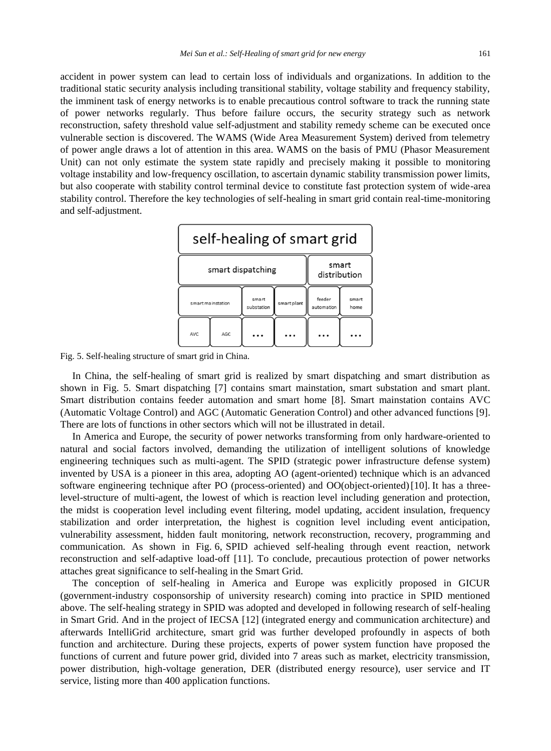accident in power system can lead to certain loss of individuals and organizations. In addition to the traditional static security analysis including transitional stability, voltage stability and frequency stability, the imminent task of energy networks is to enable precautious control software to track the running state of power networks regularly. Thus before failure occurs, the security strategy such as network reconstruction, safety threshold value self-adjustment and stability remedy scheme can be executed once vulnerable section is discovered. The WAMS (Wide Area Measurement System) derived from telemetry of power angle draws a lot of attention in this area. WAMS on the basis of PMU (Phasor Measurement Unit) can not only estimate the system state rapidly and precisely making it possible to monitoring voltage instability and low-frequency oscillation, to ascertain dynamic stability transmission power limits, but also cooperate with stability control terminal device to constitute fast protection system of wide-area stability control. Therefore the key technologies of self-healing in smart grid contain real-time-monitoring and self-adjustment.



Fig. 5. Self-healing structure of smart grid in China.

In China, the self-healing of smart grid is realized by smart dispatching and smart distribution as shown in Fig. 5. Smart dispatching [7] contains smart mainstation, smart substation and smart plant. Smart distribution contains feeder automation and smart home [8]. Smart mainstation contains AVC (Automatic Voltage Control) and AGC (Automatic Generation Control) and other advanced functions [9]. There are lots of functions in other sectors which will not be illustrated in detail.

In America and Europe, the security of power networks transforming from only hardware-oriented to natural and social factors involved, demanding the utilization of intelligent solutions of knowledge engineering techniques such as multi-agent. The SPID (strategic power infrastructure defense system) invented by USA is a pioneer in this area, adopting AO (agent-oriented) technique which is an advanced software engineering technique after PO (process-oriented) and OO(object-oriented)[10]. It has a threelevel-structure of multi-agent, the lowest of which is reaction level including generation and protection, the midst is cooperation level including event filtering, model updating, accident insulation, frequency stabilization and order interpretation, the highest is cognition level including event anticipation, vulnerability assessment, hidden fault monitoring, network reconstruction, recovery, programming and communication. As shown in Fig. 6, SPID achieved self-healing through event reaction, network reconstruction and self-adaptive load-off [11]. To conclude, precautious protection of power networks attaches great significance to self-healing in the Smart Grid.

The conception of self-healing in America and Europe was explicitly proposed in GICUR (government-industry cosponsorship of university research) coming into practice in SPID mentioned above. The self-healing strategy in SPID was adopted and developed in following research of self-healing in Smart Grid. And in the project of IECSA [12] (integrated energy and communication architecture) and afterwards IntelliGrid architecture, smart grid was further developed profoundly in aspects of both function and architecture. During these projects, experts of power system function have proposed the functions of current and future power grid, divided into 7 areas such as market, electricity transmission, power distribution, high-voltage generation, DER (distributed energy resource), user service and IT service, listing more than 400 application functions.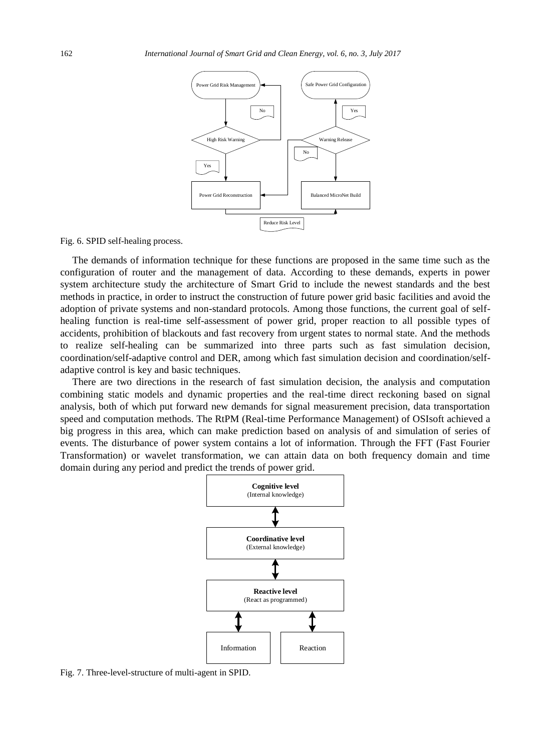

Fig. 6. SPID self-healing process.

The demands of information technique for these functions are proposed in the same time such as the configuration of router and the management of data. According to these demands, experts in power system architecture study the architecture of Smart Grid to include the newest standards and the best methods in practice, in order to instruct the construction of future power grid basic facilities and avoid the adoption of private systems and non-standard protocols. Among those functions, the current goal of selfhealing function is real-time self-assessment of power grid, proper reaction to all possible types of accidents, prohibition of blackouts and fast recovery from urgent states to normal state. And the methods to realize self-healing can be summarized into three parts such as fast simulation decision, coordination/self-adaptive control and DER, among which fast simulation decision and coordination/selfadaptive control is key and basic techniques.

There are two directions in the research of fast simulation decision, the analysis and computation combining static models and dynamic properties and the real-time direct reckoning based on signal analysis, both of which put forward new demands for signal measurement precision, data transportation speed and computation methods. The RtPM (Real-time Performance Management) of OSIsoft achieved a big progress in this area, which can make prediction based on analysis of and simulation of series of events. The disturbance of power system contains a lot of information. Through the FFT (Fast Fourier Transformation) or wavelet transformation, we can attain data on both frequency domain and time domain during any period and predict the trends of power grid.



Fig. 7. Three-level-structure of multi-agent in SPID.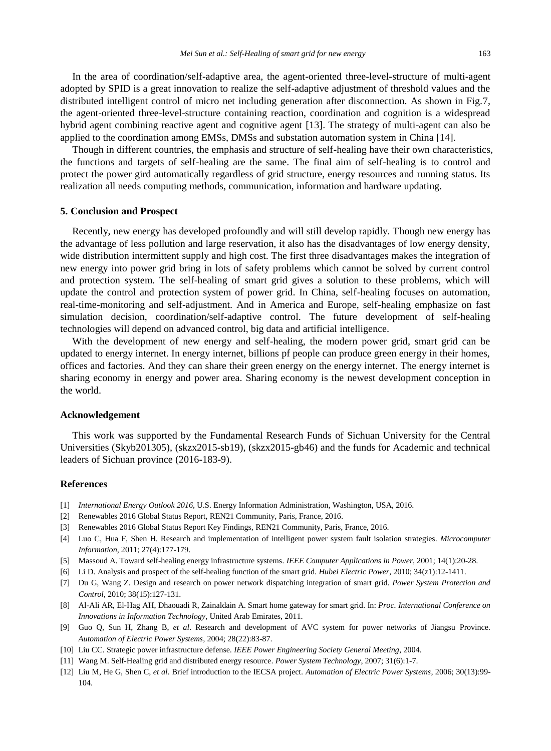In the area of coordination/self-adaptive area, the agent-oriented three-level-structure of multi-agent adopted by SPID is a great innovation to realize the self-adaptive adjustment of threshold values and the distributed intelligent control of micro net including generation after disconnection. As shown in Fig.7, the agent-oriented three-level-structure containing reaction, coordination and cognition is a widespread hybrid agent combining reactive agent and cognitive agent [13]. The strategy of multi-agent can also be applied to the coordination among EMSs, DMSs and substation automation system in China [14].

Though in different countries, the emphasis and structure of self-healing have their own characteristics, the functions and targets of self-healing are the same. The final aim of self-healing is to control and protect the power gird automatically regardless of grid structure, energy resources and running status. Its realization all needs computing methods, communication, information and hardware updating.

#### **5. Conclusion and Prospect**

Recently, new energy has developed profoundly and will still develop rapidly. Though new energy has the advantage of less pollution and large reservation, it also has the disadvantages of low energy density, wide distribution intermittent supply and high cost. The first three disadvantages makes the integration of new energy into power grid bring in lots of safety problems which cannot be solved by current control and protection system. The self-healing of smart grid gives a solution to these problems, which will update the control and protection system of power grid. In China, self-healing focuses on automation, real-time-monitoring and self-adjustment. And in America and Europe, self-healing emphasize on fast simulation decision, coordination/self-adaptive control. The future development of self-healing technologies will depend on advanced control, big data and artificial intelligence.

With the development of new energy and self-healing, the modern power grid, smart grid can be updated to energy internet. In energy internet, billions pf people can produce green energy in their homes, offices and factories. And they can share their green energy on the energy internet. The energy internet is sharing economy in energy and power area. Sharing economy is the newest development conception in the world.

## **Acknowledgement**

This work was supported by the Fundamental Research Funds of Sichuan University for the Central Universities (Skyb201305), (skzx2015-sb19), (skzx2015-gb46) and the funds for Academic and technical leaders of Sichuan province (2016-183-9).

## **References**

- [1] *International Energy Outlook 2016*, U.S. Energy Information Administration, Washington, USA, 2016.
- [2] Renewables 2016 Global Status Report, REN21 Community, Paris, France, 2016.
- [3] Renewables 2016 Global Status Report Key Findings, REN21 Community, Paris, France, 2016.
- [4] Luo C, Hua F, Shen H. Research and implementation of intelligent power system fault isolation strategies. *Microcomputer Information*, 2011; 27(4):177-179.
- [5] Massoud A. Toward self-healing energy infrastructure systems. *IEEE Computer Applications in Power*, 2001; 14(1):20-28.
- [6] Li D. Analysis and prospect of the self-healing function of the smart grid. *Hubei Electric Power*, 2010; 34(z1):12-1411.
- [7] Du G, Wang Z. Design and research on power network dispatching integration of smart grid. *Power System Protection and Control*, 2010; 38(15):127-131.
- [8] Al-Ali AR, El-Hag AH, Dhaouadi R, Zainaldain A. Smart home gateway for smart grid. In: *Proc. International Conference on Innovations in Information Technology*, United Arab Emirates, 2011.
- [9] Guo Q, Sun H, Zhang B, *et al*. Research and development of AVC system for power networks of Jiangsu Province. *Automation of Electric Power Systems*, 2004; 28(22):83-87.
- [10] Liu CC. Strategic power infrastructure defense. *IEEE Power Engineering Society General Meeting*, 2004.
- [11] Wang M. Self-Healing grid and distributed energy resource. *Power System Technology*, 2007; 31(6):1-7.
- [12] Liu M, He G, Shen C, *et al*. Brief introduction to the IECSA project. *Automation of Electric Power Systems*, 2006; 30(13):99- 104.